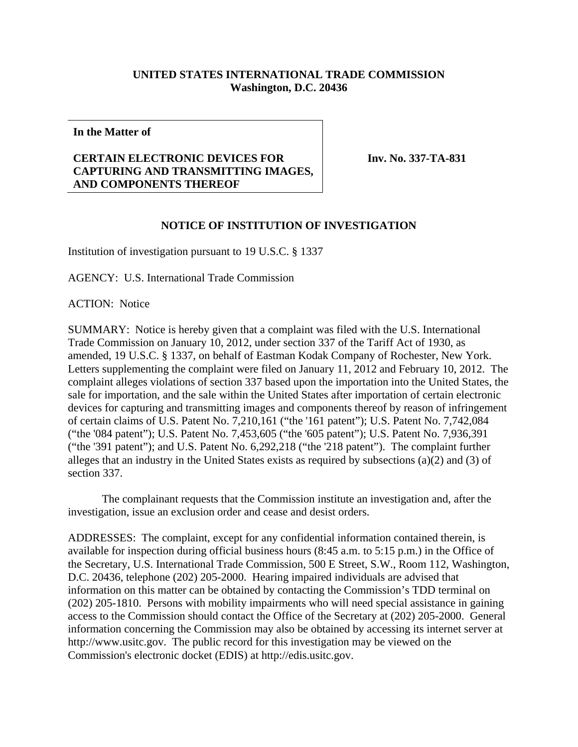## **UNITED STATES INTERNATIONAL TRADE COMMISSION Washington, D.C. 20436**

**In the Matter of** 

## **CERTAIN ELECTRONIC DEVICES FOR CAPTURING AND TRANSMITTING IMAGES, AND COMPONENTS THEREOF**

**Inv. No. 337-TA-831**

## **NOTICE OF INSTITUTION OF INVESTIGATION**

Institution of investigation pursuant to 19 U.S.C. § 1337

AGENCY: U.S. International Trade Commission

ACTION: Notice

SUMMARY: Notice is hereby given that a complaint was filed with the U.S. International Trade Commission on January 10, 2012, under section 337 of the Tariff Act of 1930, as amended, 19 U.S.C. § 1337, on behalf of Eastman Kodak Company of Rochester, New York. Letters supplementing the complaint were filed on January 11, 2012 and February 10, 2012. The complaint alleges violations of section 337 based upon the importation into the United States, the sale for importation, and the sale within the United States after importation of certain electronic devices for capturing and transmitting images and components thereof by reason of infringement of certain claims of U.S. Patent No. 7,210,161 ("the '161 patent"); U.S. Patent No. 7,742,084 ("the '084 patent"); U.S. Patent No. 7,453,605 ("the '605 patent"); U.S. Patent No. 7,936,391 ("the '391 patent"); and U.S. Patent No. 6,292,218 ("the '218 patent"). The complaint further alleges that an industry in the United States exists as required by subsections (a)(2) and (3) of section 337.

 The complainant requests that the Commission institute an investigation and, after the investigation, issue an exclusion order and cease and desist orders.

ADDRESSES: The complaint, except for any confidential information contained therein, is available for inspection during official business hours (8:45 a.m. to 5:15 p.m.) in the Office of the Secretary, U.S. International Trade Commission, 500 E Street, S.W., Room 112, Washington, D.C. 20436, telephone (202) 205-2000. Hearing impaired individuals are advised that information on this matter can be obtained by contacting the Commission's TDD terminal on (202) 205-1810. Persons with mobility impairments who will need special assistance in gaining access to the Commission should contact the Office of the Secretary at (202) 205-2000. General information concerning the Commission may also be obtained by accessing its internet server at http://www.usitc.gov. The public record for this investigation may be viewed on the Commission's electronic docket (EDIS) at http://edis.usitc.gov.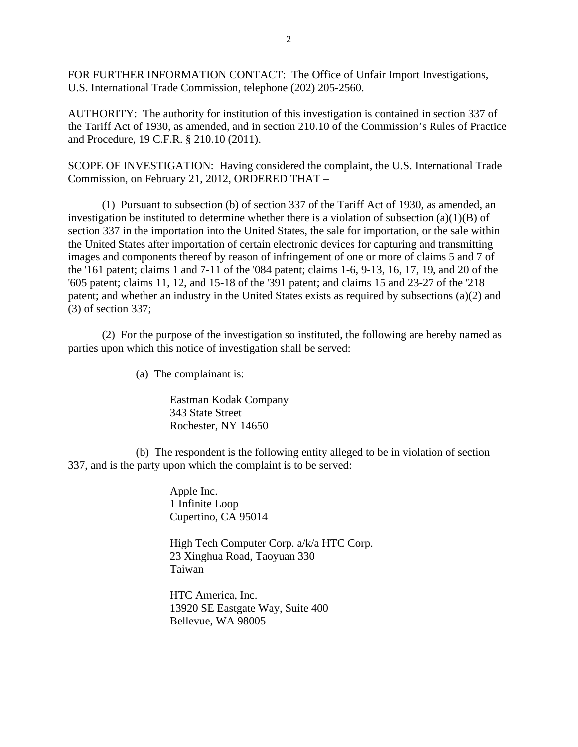FOR FURTHER INFORMATION CONTACT: The Office of Unfair Import Investigations, U.S. International Trade Commission, telephone (202) 205-2560.

AUTHORITY: The authority for institution of this investigation is contained in section 337 of the Tariff Act of 1930, as amended, and in section 210.10 of the Commission's Rules of Practice and Procedure, 19 C.F.R. § 210.10 (2011).

SCOPE OF INVESTIGATION: Having considered the complaint, the U.S. International Trade Commission, on February 21, 2012, ORDERED THAT –

 (1) Pursuant to subsection (b) of section 337 of the Tariff Act of 1930, as amended, an investigation be instituted to determine whether there is a violation of subsection  $(a)(1)(B)$  of section 337 in the importation into the United States, the sale for importation, or the sale within the United States after importation of certain electronic devices for capturing and transmitting images and components thereof by reason of infringement of one or more of claims 5 and 7 of the '161 patent; claims 1 and 7-11 of the '084 patent; claims 1-6, 9-13, 16, 17, 19, and 20 of the '605 patent; claims 11, 12, and 15-18 of the '391 patent; and claims 15 and 23-27 of the '218 patent; and whether an industry in the United States exists as required by subsections (a)(2) and (3) of section 337;

 (2) For the purpose of the investigation so instituted, the following are hereby named as parties upon which this notice of investigation shall be served:

(a) The complainant is:

Eastman Kodak Company 343 State Street Rochester, NY 14650

 (b) The respondent is the following entity alleged to be in violation of section 337, and is the party upon which the complaint is to be served:

> Apple Inc. 1 Infinite Loop Cupertino, CA 95014

High Tech Computer Corp. a/k/a HTC Corp. 23 Xinghua Road, Taoyuan 330 Taiwan

HTC America, Inc. 13920 SE Eastgate Way, Suite 400 Bellevue, WA 98005